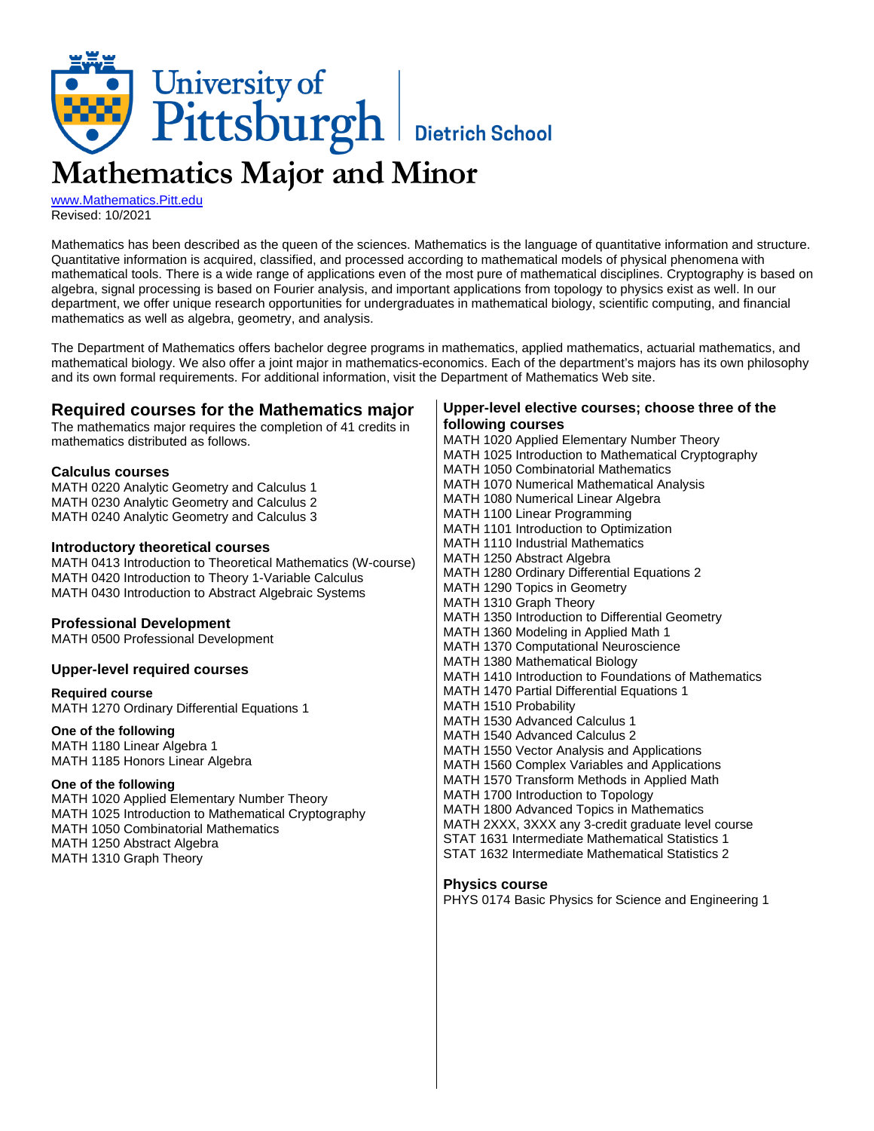

[www.Mathematics.Pitt.edu](http://www.mathematics.pitt.edu/) Revised: 10/2021

Mathematics has been described as the queen of the sciences. Mathematics is the language of quantitative information and structure. Quantitative information is acquired, classified, and processed according to mathematical models of physical phenomena with mathematical tools. There is a wide range of applications even of the most pure of mathematical disciplines. Cryptography is based on algebra, signal processing is based on Fourier analysis, and important applications from topology to physics exist as well. In our department, we offer unique research opportunities for undergraduates in mathematical biology, scientific computing, and financial mathematics as well as algebra, geometry, and analysis.

The Department of Mathematics offers bachelor degree programs in mathematics, applied mathematics, actuarial mathematics, and mathematical biology. We also offer a joint major in mathematics-economics. Each of the department's majors has its own philosophy and its own formal requirements. For additional information, visit the Department of Mathematics Web site.

## **Required courses for the Mathematics major**

The mathematics major requires the completion of 41 credits in mathematics distributed as follows.

#### **Calculus courses**

MATH 0220 Analytic Geometry and Calculus 1 MATH 0230 Analytic Geometry and Calculus 2 MATH 0240 Analytic Geometry and Calculus 3

### **Introductory theoretical courses**

MATH 0413 Introduction to Theoretical Mathematics (W-course) MATH 0420 Introduction to Theory 1-Variable Calculus MATH 0430 Introduction to Abstract Algebraic Systems

#### **Professional Development**

MATH 0500 Professional Development

#### **Upper-level required courses**

**Required course** MATH 1270 Ordinary Differential Equations 1

#### **One of the following**

MATH 1180 Linear Algebra 1 MATH 1185 Honors Linear Algebra

#### **One of the following**

MATH 1020 Applied Elementary Number Theory MATH 1025 Introduction to Mathematical Cryptography MATH 1050 Combinatorial Mathematics MATH 1250 Abstract Algebra MATH 1310 Graph Theory

### **Upper-level elective courses; choose three of the following courses**

MATH 1020 Applied Elementary Number Theory MATH 1025 Introduction to Mathematical Cryptography MATH 1050 Combinatorial Mathematics MATH 1070 Numerical Mathematical Analysis MATH 1080 Numerical Linear Algebra MATH 1100 Linear Programming MATH 1101 Introduction to Optimization MATH 1110 Industrial Mathematics MATH 1250 Abstract Algebra MATH 1280 Ordinary Differential Equations 2 MATH 1290 Topics in Geometry MATH 1310 Graph Theory MATH 1350 Introduction to Differential Geometry MATH 1360 Modeling in Applied Math 1 MATH 1370 Computational Neuroscience MATH 1380 Mathematical Biology MATH 1410 Introduction to Foundations of Mathematics MATH 1470 Partial Differential Equations 1 MATH 1510 Probability MATH 1530 Advanced Calculus 1 MATH 1540 Advanced Calculus 2 MATH 1550 Vector Analysis and Applications MATH 1560 Complex Variables and Applications MATH 1570 Transform Methods in Applied Math MATH 1700 Introduction to Topology MATH 1800 Advanced Topics in Mathematics MATH 2XXX, 3XXX any 3-credit graduate level course STAT 1631 Intermediate Mathematical Statistics 1 STAT 1632 Intermediate Mathematical Statistics 2

#### **Physics course**

PHYS 0174 Basic Physics for Science and Engineering 1